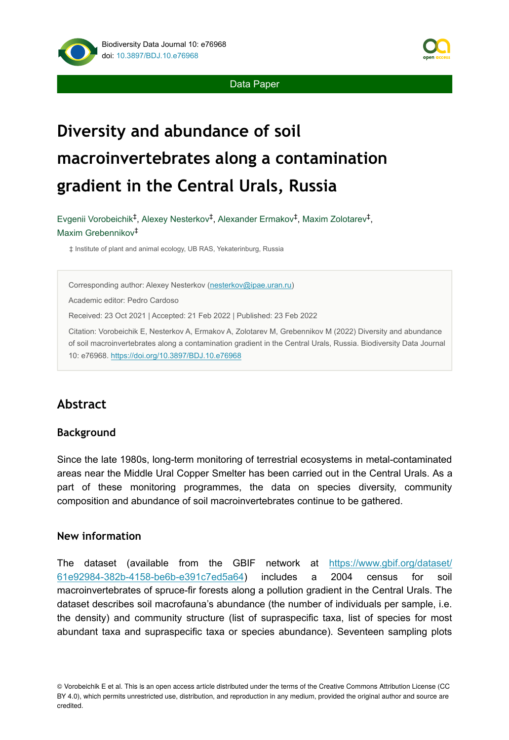

Data Paper

# **Diversity and abundance of soil macroinvertebrates along a contamination gradient in the Central Urals, Russia**

Evgenii Vorobeichik<sup>‡</sup>, Alexey Nesterkov<sup>‡</sup>, Alexander Ermakov<sup>‡</sup>, Maxim Zolotarev<sup>‡</sup>, Maxim Grebennikov ‡

‡ Institute of plant and animal ecology, UB RAS, Yekaterinburg, Russia

Corresponding author: Alexey Nesterkov ([nesterkov@ipae.uran.ru\)](mailto:nesterkov@ipae.uran.ru)

Academic editor: Pedro Cardoso

Received: 23 Oct 2021 | Accepted: 21 Feb 2022 | Published: 23 Feb 2022

Citation: Vorobeichik E, Nesterkov A, Ermakov A, Zolotarev M, Grebennikov M (2022) Diversity and abundance of soil macroinvertebrates along a contamination gradient in the Central Urals, Russia. Biodiversity Data Journal 10: e76968. <https://doi.org/10.3897/BDJ.10.e76968>

# **Abstract**

#### **Background**

Since the late 1980s, long-term monitoring of terrestrial ecosystems in metal-contaminated areas near the Middle Ural Copper Smelter has been carried out in the Central Urals. As a part of these monitoring programmes, the data on species diversity, community composition and abundance of soil macroinvertebrates continue to be gathered.

#### **New information**

The dataset (available from the GBIF network at [https://www.gbif.org/dataset/](https://www.gbif.org/dataset/61e92984-382b-4158-be6b-e391c7ed5a64) [61e92984-382b-4158-be6b-e391c7ed5a64](https://www.gbif.org/dataset/61e92984-382b-4158-be6b-e391c7ed5a64)) includes a 2004 census for soil macroinvertebrates of spruce-fir forests along a pollution gradient in the Central Urals. The dataset describes soil macrofauna's abundance (the number of individuals per sample, i.e. the density) and community structure (list of supraspecific taxa, list of species for most abundant taxa and supraspecific taxa or species abundance). Seventeen sampling plots

<sup>©</sup> Vorobeichik E et al. This is an open access article distributed under the terms of the Creative Commons Attribution License (CC BY 4.0), which permits unrestricted use, distribution, and reproduction in any medium, provided the original author and source are credited.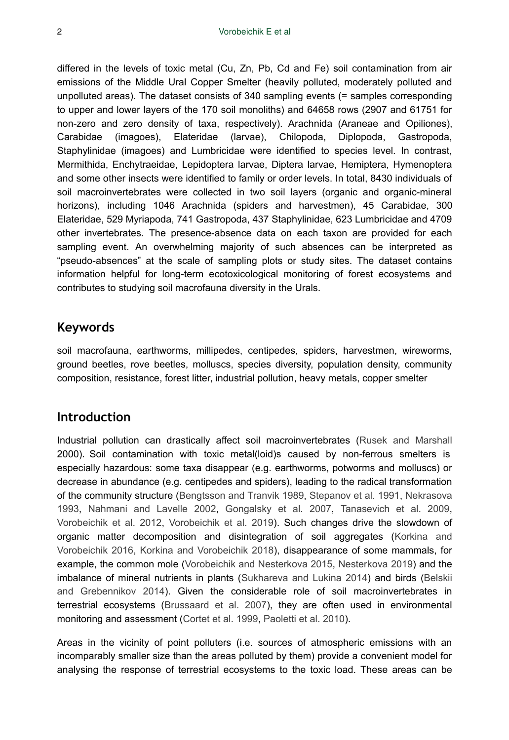differed in the levels of toxic metal (Cu, Zn, Pb, Cd and Fe) soil contamination from air emissions of the Middle Ural Copper Smelter (heavily polluted, moderately polluted and unpolluted areas). The dataset consists of 340 sampling events (= samples corresponding to upper and lower layers of the 170 soil monoliths) and 64658 rows (2907 and 61751 for non-zero and zero density of taxa, respectively). Arachnida (Araneae and Opiliones), Carabidae (imagoes), Elateridae (larvae), Chilopoda, Diplopoda, Gastropoda, Staphylinidae (imagoes) and Lumbricidae were identified to species level. In contrast, Mermithida, Enchytraeidae, Lepidoptera larvae, Diptera larvae, Hemiptera, Hymenoptera and some other insects were identified to family or order levels. In total, 8430 individuals of soil macroinvertebrates were collected in two soil layers (organic and organic-mineral horizons), including 1046 Arachnida (spiders and harvestmen), 45 Carabidae, 300 Elateridae, 529 Myriapoda, 741 Gastropoda, 437 Staphylinidae, 623 Lumbricidae and 4709 other invertebrates. The presence-absence data on each taxon are provided for each sampling event. An overwhelming majority of such absences can be interpreted as "pseudo-absences" at the scale of sampling plots or study sites. The dataset contains information helpful for long-term ecotoxicological monitoring of forest ecosystems and contributes to studying soil macrofauna diversity in the Urals.

#### **Keywords**

soil macrofauna, earthworms, millipedes, centipedes, spiders, harvestmen, wireworms, ground beetles, rove beetles, molluscs, species diversity, population density, community composition, resistance, forest litter, industrial pollution, heavy metals, copper smelter

## **Introduction**

Industrial pollution can drastically affect soil macroinvertebrates ([Rusek and Marshall](#page-20-0) 2000). Soil contamination with toxic metal(loid)s caused by non-ferrous smelters is especially hazardous: some taxa disappear (e.g. earthworms, potworms and molluscs) or decrease in abundance (e.g. centipedes and spiders), leading to the radical transformation of the community structure ([Bengtsson and Tranvik 1989](#page-18-0), [Stepanov et al. 1991](#page-20-1), [Nekrasova](#page-19-0) [1993](#page-19-0), [Nahmani and Lavelle 2002](#page-19-1), [Gongalsky et al. 2007](#page-18-1), [Tanasevich et al. 2009,](#page-20-2) [Vorobeichik et al. 2012](#page-20-3), [Vorobeichik et al. 2019](#page-21-0)). Such changes drive the slowdown of organic matter decomposition and disintegration of soil aggregates [\(Korkina and](#page-19-2) [Vorobeichik 2016,](#page-19-2) [Korkina and Vorobeichik 2018](#page-19-3)), disappearance of some mammals, for example, the common mole ([Vorobeichik and Nesterkova 2015](#page-21-1), [Nesterkova 2019](#page-19-4)) and the imbalance of mineral nutrients in plants ([Sukhareva and Lukina 2014](#page-20-4)) and birds [\(Belskii](#page-18-2) [and Grebennikov 2014](#page-18-2)). Given the considerable role of soil macroinvertebrates in terrestrial ecosystems ([Brussaard et al. 2007\)](#page-18-3), they are often used in environmental monitoring and assessment ([Cortet et al. 1999](#page-18-4), [Paoletti et al. 2010\)](#page-20-5).

Areas in the vicinity of point polluters (i.e. sources of atmospheric emissions with an incomparably smaller size than the areas polluted by them) provide a convenient model for analysing the response of terrestrial ecosystems to the toxic load. These areas can be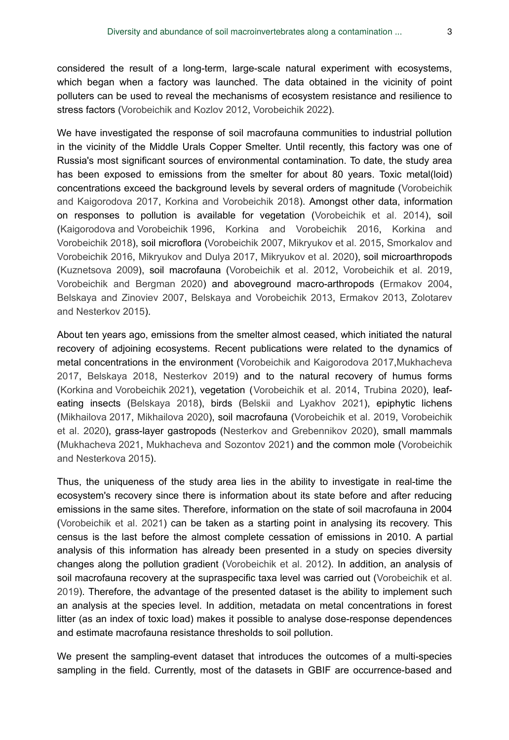considered the result of a long-term, large-scale natural experiment with ecosystems, which began when a factory was launched. The data obtained in the vicinity of point polluters can be used to reveal the mechanisms of ecosystem resistance and resilience to stress factors [\(Vorobeichik and Kozlov 2012,](#page-20-6) [Vorobeichik 2022\)](#page-21-2).

We have investigated the response of soil macrofauna communities to industrial pollution in the vicinity of the Middle Urals Copper Smelter. Until recently, this factory was one of Russia's most significant sources of environmental contamination. To date, the study area has been exposed to emissions from the smelter for about 80 years. Toxic metal(loid) concentrations exceed the background levels by several orders of magnitude ([Vorobeichik](#page-21-3) [and Kaigorodova 2017](#page-21-3), [Korkina and Vorobeichik 2018\)](#page-19-3). Amongst other data, information on responses to pollution is available for vegetation [\(Vorobeichik et al. 2014](#page-21-4)), soil [\(Kaigorodova and Vorobeichik 1996](#page-18-5), [Korkina and Vorobeichik 2016](#page-19-2), [Korkina and](#page-19-3) [Vorobeichik 2018\)](#page-19-3), soil microflora ([Vorobeichik 2007,](#page-20-7) [Mikryukov et al. 2015](#page-19-5), [Smorkalov and](#page-20-8) [Vorobeichik 2016,](#page-20-8) [Mikryukov and Dulya 2017](#page-19-6), [Mikryukov et al. 2020\)](#page-19-7), soil microarthropods [\(Kuznetsova 2009](#page-19-8)), soil macrofauna ([Vorobeichik et al. 2012](#page-20-3), [Vorobeichik et al. 2019,](#page-21-0) [Vorobeichik and Bergman 2020](#page-21-5)) and aboveground macro-arthropods ([Ermakov 2004,](#page-18-6) [Belskaya and Zinoviev 2007](#page-17-0), [Belskaya and Vorobeichik 2013](#page-18-7), [Ermakov 2013](#page-18-8), [Zolotarev](#page-21-6) [and Nesterkov 2015\)](#page-21-6).

About ten years ago, emissions from the smelter almost ceased, which initiated the natural recovery of adjoining ecosystems. Recent publications were related to the dynamics of metal concentrations in the environment [\(Vorobeichik and Kaigorodova 2017,](#page-21-3)[Mukhacheva](#page-19-9) [2017](#page-19-9), [Belskaya 2018](#page-18-9), [Nesterkov 2019\)](#page-20-9) and to the natural recovery of humus forms [\(Korkina and Vorobeichik 2021](#page-18-10)), vegetation ([Vorobeichik et al. 2014,](#page-21-4) [Trubina 2020](#page-20-10)), leafeating insects ([Belskaya 2018](#page-18-9)), birds [\(Belskii and Lyakhov 2021](#page-18-11)), epiphytic lichens [\(Mikhailova 2017](#page-19-10), [Mikhailova 2020\)](#page-19-11), soil macrofauna [\(Vorobeichik et al. 2019](#page-21-0), [Vorobeichik](#page-21-7) [et al. 2020\)](#page-21-7), grass-layer gastropods [\(Nesterkov and Grebennikov 2020\)](#page-20-11), small mammals [\(Mukhacheva 2021,](#page-19-12) [Mukhacheva and Sozontov 2021\)](#page-19-13) and the common mole ([Vorobeichik](#page-21-1) [and Nesterkova 2015](#page-21-1)).

Thus, the uniqueness of the study area lies in the ability to investigate in real-time the ecosystem's recovery since there is information about its state before and after reducing emissions in the same sites. Therefore, information on the state of soil macrofauna in 2004 [\(Vorobeichik et al. 2021](#page-20-12)) can be taken as a starting point in analysing its recovery. This census is the last before the almost complete cessation of emissions in 2010. A partial analysis of this information has already been presented in a study on species diversity changes along the pollution gradient [\(Vorobeichik et al. 2012](#page-20-3)). In addition, an analysis of soil macrofauna recovery at the supraspecific taxa level was carried out ([Vorobeichik et al.](#page-21-0) [2019](#page-21-0)). Therefore, the advantage of the presented dataset is the ability to implement such an analysis at the species level. In addition, metadata on metal concentrations in forest litter (as an index of toxic load) makes it possible to analyse dose-response dependences and estimate macrofauna resistance thresholds to soil pollution.

We present the sampling-event dataset that introduces the outcomes of a multi-species sampling in the field. Currently, most of the datasets in GBIF are occurrence-based and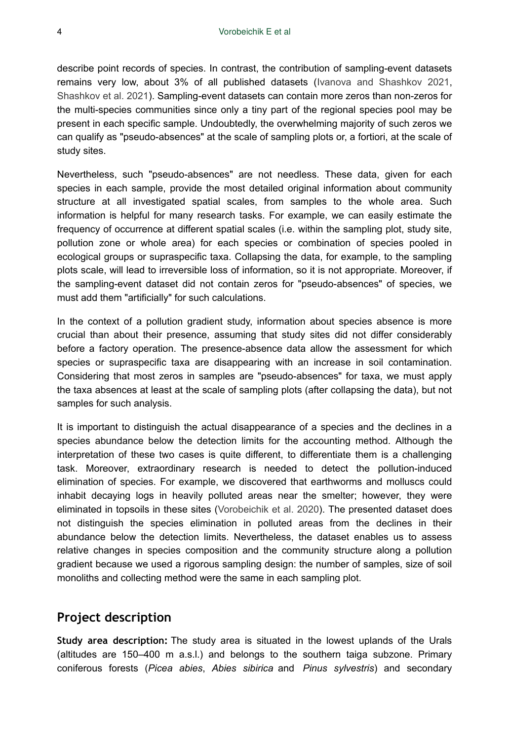describe point records of species. In contrast, the contribution of sampling-event datasets remains very low, about 3% of all published datasets [\(Ivanova and Shashkov 2021,](#page-18-12) [Shashkov et al. 2021\)](#page-20-13). Sampling-event datasets can contain more zeros than non-zeros for the multi-species communities since only a tiny part of the regional species pool may be present in each specific sample. Undoubtedly, the overwhelming majority of such zeros we can qualify as "pseudo-absences" at the scale of sampling plots or, a fortiori, at the scale of study sites.

Nevertheless, such "pseudo-absences" are not needless. These data, given for each species in each sample, provide the most detailed original information about community structure at all investigated spatial scales, from samples to the whole area. Such information is helpful for many research tasks. For example, we can easily estimate the frequency of occurrence at different spatial scales (i.e. within the sampling plot, study site, pollution zone or whole area) for each species or combination of species pooled in ecological groups or supraspecific taxa. Collapsing the data, for example, to the sampling plots scale, will lead to irreversible loss of information, so it is not appropriate. Moreover, if the sampling-event dataset did not contain zeros for "pseudo-absences" of species, we must add them "artificially" for such calculations.

In the context of a pollution gradient study, information about species absence is more crucial than about their presence, assuming that study sites did not differ considerably before a factory operation. The presence-absence data allow the assessment for which species or supraspecific taxa are disappearing with an increase in soil contamination. Considering that most zeros in samples are "pseudo-absences" for taxa, we must apply the taxa absences at least at the scale of sampling plots (after collapsing the data), but not samples for such analysis.

It is important to distinguish the actual disappearance of a species and the declines in a species abundance below the detection limits for the accounting method. Although the interpretation of these two cases is quite different, to differentiate them is a challenging task. Moreover, extraordinary research is needed to detect the pollution-induced elimination of species. For example, we discovered that earthworms and molluscs could inhabit decaying logs in heavily polluted areas near the smelter; however, they were eliminated in topsoils in these sites ([Vorobeichik et al. 2020\)](#page-21-7). The presented dataset does not distinguish the species elimination in polluted areas from the declines in their abundance below the detection limits. Nevertheless, the dataset enables us to assess relative changes in species composition and the community structure along a pollution gradient because we used a rigorous sampling design: the number of samples, size of soil monoliths and collecting method were the same in each sampling plot.

## **Project description**

**Study area description:** The study area is situated in the lowest uplands of the Urals (altitudes are 150–400 m a.s.l.) and belongs to the southern taiga subzone. Primary coniferous forests (*Picea abies*, *Abies sibirica* and *Pinus sylvestris*) and secondary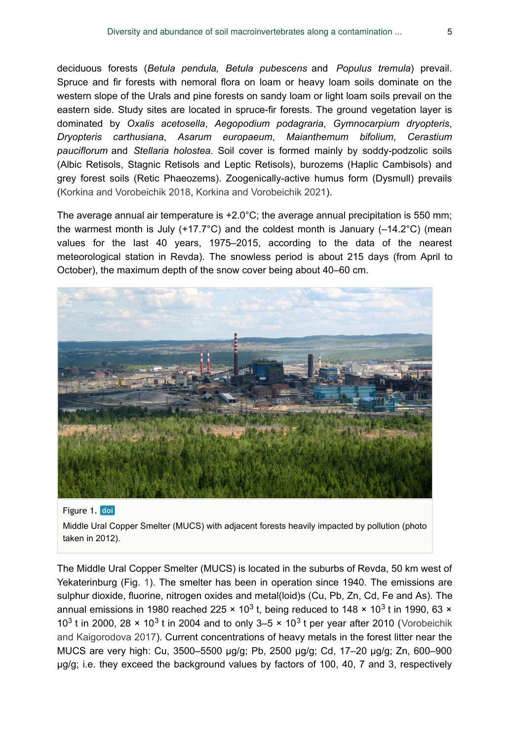deciduous forests (*Betula pendula, Betula pubescens* and *Populus tremula*) prevail. Spruce and fir forests with nemoral flora on loam or heavy loam soils dominate on the western slope of the Urals and pine forests on sandy loam or light loam soils prevail on the eastern side. Study sites are located in spruce-fir forests. The ground vegetation layer is dominated by *Oxalis acetosella*, *Aegopodium podagraria*, *Gymnocarpium dryopteris*, *Dryopteris carthusiana*, *Asarum europaeum*, *Maianthemum bifolium*, *Cerastium pauciflorum* and *Stellaria holostea*. Soil cover is formed mainly by soddy-podzolic soils (Albic Retisols, Stagnic Retisols and Leptic Retisols), burozems (Haplic Cambisols) and grey forest soils (Retic Phaeozems). Zoogenically-active humus form (Dysmull) prevails [\(Korkina and Vorobeichik 2018](#page-19-3), [Korkina and Vorobeichik 2021\)](#page-18-10).

The average annual air temperature is +2.0°C; the average annual precipitation is 550 mm; the warmest month is July  $(+17.7^{\circ}C)$  and the coldest month is January  $(-14.2^{\circ}C)$  (mean values for the last 40 years, 1975–2015, according to the data of the nearest meteorological station in Revda). The snowless period is about 215 days (from April to October), the maximum depth of the snow cover being about 40–60 cm.

<span id="page-4-0"></span>

#### Figure 1. doi

Middle Ural Copper Smelter (MUCS) with adjacent forests heavily impacted by pollution (photo taken in 2012).

The Middle Ural Copper Smelter (MUCS) is located in the suburbs of Revda, 50 km west of Yekaterinburg (Fig. [1](#page-4-0)). The smelter has been in operation since 1940. The emissions are sulphur dioxide, fluorine, nitrogen oxides and metal(loid)s (Cu, Pb, Zn, Cd, Fe and As). The annual emissions in 1980 reached 225  $\times$  10<sup>3</sup> t, being reduced to 148  $\times$  10<sup>3</sup> t in 1990, 63  $\times$ 10<sup>3</sup> t in 2000, 28  $\times$  10<sup>3</sup> t in 2004 and to only 3–5  $\times$  10<sup>3</sup> t per year after 2010 ([Vorobeichik](#page-21-3) [and Kaigorodova 2017](#page-21-3)). Current concentrations of heavy metals in the forest litter near the MUCS are very high: Cu, 3500–5500 μg/g; Pb, 2500 μg/g; Cd, 17–20 μg/g; Zn, 600–900 μg/g; i.e. they exceed the background values by factors of 100, 40, 7 and 3, respectively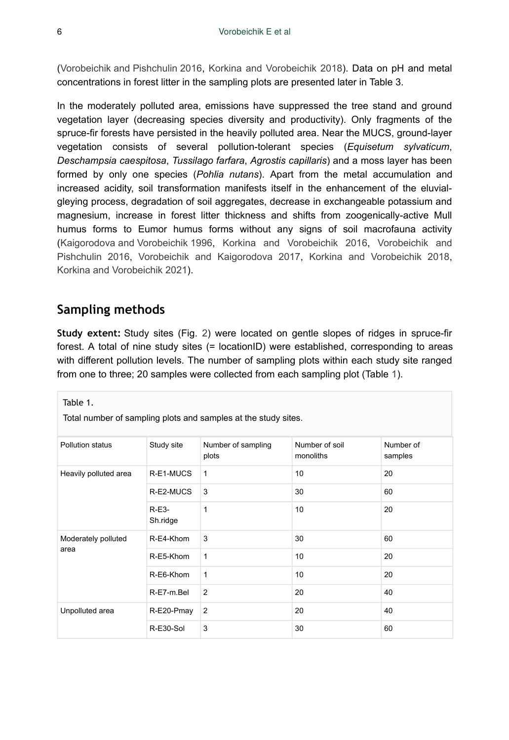[\(Vorobeichik and Pishchulin 2016,](#page-21-8) [Korkina and Vorobeichik 2018](#page-19-3)). Data on pH and metal concentrations in forest litter in the sampling plots are presented later in Table 3.

In the moderately polluted area, emissions have suppressed the tree stand and ground vegetation layer (decreasing species diversity and productivity). Only fragments of the spruce-fir forests have persisted in the heavily polluted area. Near the MUCS, ground-layer vegetation consists of several pollution-tolerant species (*Equisetum sylvaticum*, *Deschampsia caespitosa*, *Tussilago farfara*, *Agrostis capillaris*) and a moss layer has been formed by only one species (*Pohlia nutans*). Apart from the metal accumulation and increased acidity, soil transformation manifests itself in the enhancement of the eluvialgleying process, degradation of soil aggregates, decrease in exchangeable potassium and magnesium, increase in forest litter thickness and shifts from zoogenically-active Mull humus forms to Eumor humus forms without any signs of soil macrofauna activity [\(Kaigorodova and Vorobeichik 1996](#page-18-5), [Korkina and Vorobeichik 2016](#page-19-2), [Vorobeichik and](#page-21-8) [Pishchulin 2016](#page-21-8), [Vorobeichik and Kaigorodova 2017,](#page-21-3) [Korkina and Vorobeichik 2018,](#page-19-3) [Korkina and Vorobeichik 2021](#page-18-10)).

# **Sampling methods**

**Study extent:** Study sites (Fig. [2\)](#page-6-0) were located on gentle slopes of ridges in spruce-fir forest. A total of nine study sites (= locationID) were established, corresponding to areas with different pollution levels. The number of sampling plots within each study site ranged from one to three; 20 samples were collected from each sampling plot (Table [1\)](#page-5-0).

<span id="page-5-0"></span>Table 1.

Total number of sampling plots and samples at the study sites.

| Pollution status      | Study site          | Number of sampling<br>plots | Number of soil<br>monoliths | Number of<br>samples |
|-----------------------|---------------------|-----------------------------|-----------------------------|----------------------|
| Heavily polluted area | R-E1-MUCS           | 1                           | 10                          | 20                   |
|                       | R-E2-MUCS           | 3                           | 30                          | 60                   |
|                       | $R-E3-$<br>Sh.ridge | 1                           | 10                          | 20                   |
| Moderately polluted   | R-E4-Khom           | 3                           | 30                          | 60                   |
| area                  | R-E5-Khom           | $\mathbf{1}$                | 10                          | 20                   |
|                       | R-E6-Khom           | 1                           | 10                          | 20                   |
|                       | R-E7-m.Bel          | 2                           | 20                          | 40                   |
| Unpolluted area       | R-E20-Pmay          | 2                           | 20                          | 40                   |
|                       | R-E30-Sol           | 3                           | 30                          | 60                   |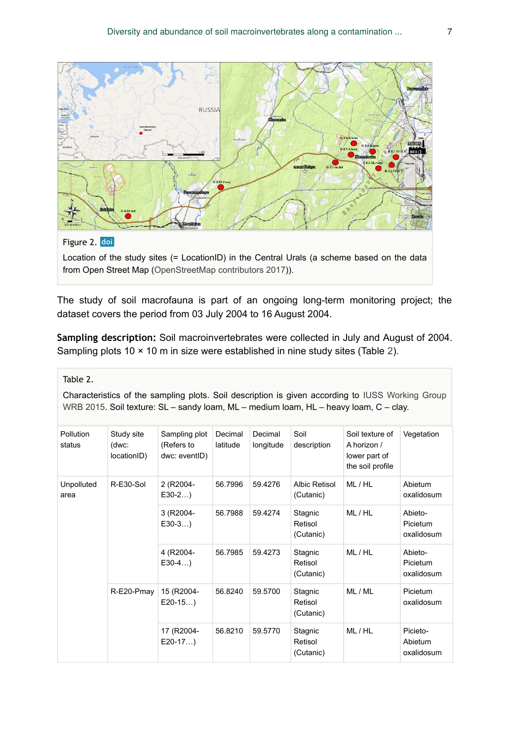<span id="page-6-0"></span>

Location of the study sites (= LocationID) in the Central Urals (a scheme based on the data from Open Street Map ([OpenStreetMap contributors 2017](#page-20-14))).

The study of soil macrofauna is part of an ongoing long-term monitoring project; the dataset covers the period from 03 July 2004 to 16 August 2004.

**Sampling description:** Soil macroinvertebrates were collected in July and August of 2004. Sampling plots 10 × 10 m in size were established in nine study sites (Table [2\)](#page-6-1).

<span id="page-6-1"></span>Table 2.

Characteristics of the sampling plots. Soil description is given according to [IUSS Working Group](#page-18-13) [WRB 2015](#page-18-13). Soil texture: SL – sandy loam, ML – medium loam, HL – heavy loam, C – clay.

| <b>Pollution</b><br>status | Study site<br>(dwc:<br>locationID) | Sampling plot<br>(Refers to<br>dwc: eventID) | Decimal<br>latitude | Decimal<br>longitude | Soil<br>description             | Soil texture of<br>A horizon /<br>lower part of<br>the soil profile | Vegetation                        |
|----------------------------|------------------------------------|----------------------------------------------|---------------------|----------------------|---------------------------------|---------------------------------------------------------------------|-----------------------------------|
| Unpolluted<br>area         | R-E30-Sol                          | 2 (R2004-<br>$E30-2$                         | 56.7996             | 59.4276              | Albic Retisol<br>(Cutanic)      | ML/HL                                                               | Abietum<br>oxalidosum             |
|                            |                                    | 3 (R2004-<br>$E30-3$                         | 56.7988             | 59.4274              | Stagnic<br>Retisol<br>(Cutanic) | ML/HL                                                               | Abieto-<br>Picietum<br>oxalidosum |
|                            |                                    | 4 (R2004-<br>$E30-4$                         | 56.7985             | 59.4273              | Stagnic<br>Retisol<br>(Cutanic) | ML/HL                                                               | Abieto-<br>Picietum<br>oxalidosum |
|                            | R-E20-Pmay                         | 15 (R2004-<br>$E20-15$                       | 56.8240             | 59.5700              | Stagnic<br>Retisol<br>(Cutanic) | ML/ML                                                               | <b>Picietum</b><br>oxalidosum     |
|                            |                                    | 17 (R2004-<br>$E20-17$                       | 56.8210             | 59.5770              | Stagnic<br>Retisol<br>(Cutanic) | ML/HL                                                               | Picieto-<br>Abietum<br>oxalidosum |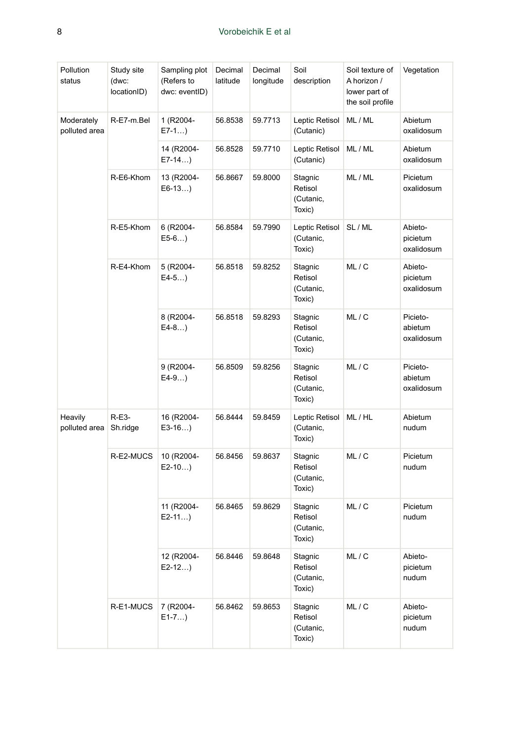| Pollution<br>status         | Study site<br>(dwc:<br>locationID) | Sampling plot<br>(Refers to<br>dwc: eventID) | Decimal<br>latitude | Decimal<br>longitude | Soil<br>description                       | Soil texture of<br>A horizon /<br>lower part of<br>the soil profile | Vegetation                        |
|-----------------------------|------------------------------------|----------------------------------------------|---------------------|----------------------|-------------------------------------------|---------------------------------------------------------------------|-----------------------------------|
| Moderately<br>polluted area | R-E7-m.Bel                         | 1 (R2004-<br>$E7-1$                          | 56.8538             | 59.7713              | Leptic Retisol<br>(Cutanic)               | ML/ML                                                               | Abietum<br>oxalidosum             |
|                             |                                    | 14 (R2004-<br>E7-14)                         | 56.8528             | 59.7710              | Leptic Retisol<br>(Cutanic)               | ML / ML                                                             | Abietum<br>oxalidosum             |
|                             | R-E6-Khom                          | 13 (R2004-<br>$E6-13$                        | 56.8667             | 59.8000              | Stagnic<br>Retisol<br>(Cutanic,<br>Toxic) | ML / ML                                                             | Picietum<br>oxalidosum            |
|                             | R-E5-Khom                          | 6 (R2004-<br>$E5-6$                          | 56.8584             | 59.7990              | Leptic Retisol<br>(Cutanic,<br>Toxic)     | SL / ML                                                             | Abieto-<br>picietum<br>oxalidosum |
|                             | R-E4-Khom                          | 5 (R2004-<br>$E4-5$                          | 56.8518             | 59.8252              | Stagnic<br>Retisol<br>(Cutanic,<br>Toxic) | ML/C                                                                | Abieto-<br>picietum<br>oxalidosum |
|                             |                                    | 8 (R2004-<br>$E4-8$                          | 56.8518             | 59.8293              | Stagnic<br>Retisol<br>(Cutanic,<br>Toxic) | ML/C                                                                | Picieto-<br>abietum<br>oxalidosum |
|                             |                                    | 9 (R2004-<br>E4-9)                           | 56.8509             | 59.8256              | Stagnic<br>Retisol<br>(Cutanic,<br>Toxic) | ML/C                                                                | Picieto-<br>abietum<br>oxalidosum |
| Heavily<br>polluted area    | $R-E3-$<br>Sh.ridge                | 16 (R2004-<br>$E3-16$                        | 56.8444             | 59.8459              | Leptic Retisol<br>(Cutanic,<br>Toxic)     | ML/HL                                                               | Abietum<br>nudum                  |
|                             | R-E2-MUCS                          | 10 (R2004-<br>$E2-10$                        | 56.8456             | 59.8637              | Stagnic<br>Retisol<br>(Cutanic,<br>Toxic) | ML/C                                                                | Picietum<br>nudum                 |
|                             |                                    | 11 (R2004-<br>E2-11)                         | 56.8465             | 59.8629              | Stagnic<br>Retisol<br>(Cutanic,<br>Toxic) | ML/C                                                                | Picietum<br>nudum                 |
|                             |                                    | 12 (R2004-<br>$E2-12$                        | 56.8446             | 59.8648              | Stagnic<br>Retisol<br>(Cutanic,<br>Toxic) | ML/C                                                                | Abieto-<br>picietum<br>nudum      |
|                             | R-E1-MUCS                          | 7 (R2004-<br>$E1 - 7$                        | 56.8462             | 59.8653              | Stagnic<br>Retisol<br>(Cutanic,<br>Toxic) | ML/C                                                                | Abieto-<br>picietum<br>nudum      |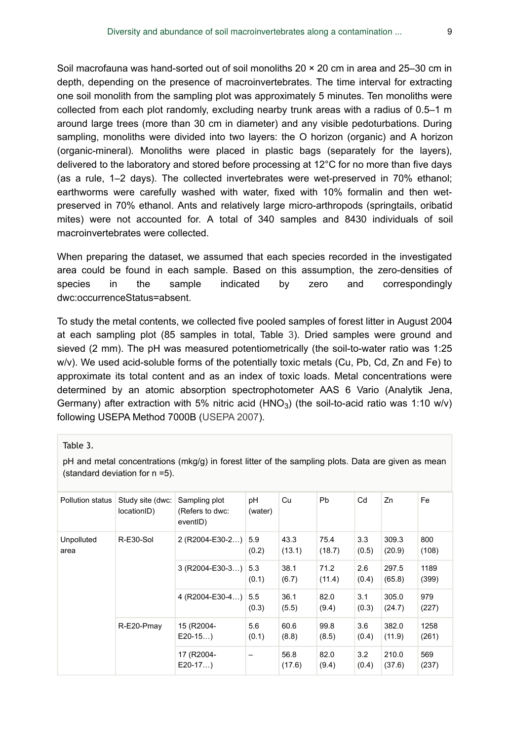Soil macrofauna was hand-sorted out of soil monoliths 20 × 20 cm in area and 25–30 cm in depth, depending on the presence of macroinvertebrates. The time interval for extracting one soil monolith from the sampling plot was approximately 5 minutes. Ten monoliths were collected from each plot randomly, excluding nearby trunk areas with a radius of 0.5–1 m around large trees (more than 30 cm in diameter) and any visible pedoturbations. During sampling, monoliths were divided into two layers: the O horizon (organic) and A horizon (organic-mineral). Monoliths were placed in plastic bags (separately for the layers), delivered to the laboratory and stored before processing at 12°C for no more than five days (as a rule, 1–2 days). The collected invertebrates were wet-preserved in 70% ethanol; earthworms were carefully washed with water, fixed with 10% formalin and then wetpreserved in 70% ethanol. Ants and relatively large micro-arthropods (springtails, oribatid mites) were not accounted for. A total of 340 samples and 8430 individuals of soil macroinvertebrates were collected.

When preparing the dataset, we assumed that each species recorded in the investigated area could be found in each sample. Based on this assumption, the zero-densities of species in the sample indicated by zero and correspondingly dwc:occurrenceStatus=absent.

To study the metal contents, we collected five pooled samples of forest litter in August 2004 at each sampling plot (85 samples in total, Table [3\)](#page-8-0). Dried samples were ground and sieved (2 mm). The pH was measured potentiometrically (the soil-to-water ratio was 1:25 w/v). We used acid-soluble forms of the potentially toxic metals (Cu, Pb, Cd, Zn and Fe) to approximate its total content and as an index of toxic loads. Metal concentrations were determined by an atomic absorption spectrophotometer AAS 6 Vario (Analytik Jena, Germany) after extraction with 5% nitric acid (HNO<sub>3</sub>) (the soil-to-acid ratio was 1:10 w/v) following USEPA Method 7000B ([USEPA 2007\)](#page-20-15).

<span id="page-8-0"></span>Table 3.

pH and metal concentrations (mkg/g) in forest litter of the sampling plots. Data are given as mean (standard deviation for n =5).

| Pollution status   | Study site (dwc:<br>locationID) | Sampling plot<br>(Refers to dwc:<br>eventID) | рH<br>(water) | Cu             | Pb             | Cd           | Zn              | Fe            |
|--------------------|---------------------------------|----------------------------------------------|---------------|----------------|----------------|--------------|-----------------|---------------|
| Unpolluted<br>area | R-E30-Sol                       | 2 (R2004-E30-2)                              | 5.9<br>(0.2)  | 43.3<br>(13.1) | 75.4<br>(18.7) | 3.3<br>(0.5) | 309.3<br>(20.9) | 800<br>(108)  |
|                    |                                 | $3 (R2004-E30-3)$                            | 5.3<br>(0.1)  | 38.1<br>(6.7)  | 71.2<br>(11.4) | 2.6<br>(0.4) | 297.5<br>(65.8) | 1189<br>(399) |
|                    |                                 | 4 (R2004-E30-4)                              | 5.5<br>(0.3)  | 36.1<br>(5.5)  | 82.0<br>(9.4)  | 3.1<br>(0.3) | 305.0<br>(24.7) | 979<br>(227)  |
|                    | R-E20-Pmay                      | 15 (R2004-<br>$E20-15$                       | 5.6<br>(0.1)  | 60.6<br>(8.8)  | 99.8<br>(8.5)  | 3.6<br>(0.4) | 382.0<br>(11.9) | 1258<br>(261) |
|                    |                                 | 17 (R2004-<br>$E20-17$                       |               | 56.8<br>(17.6) | 82.0<br>(9.4)  | 3.2<br>(0.4) | 210.0<br>(37.6) | 569<br>(237)  |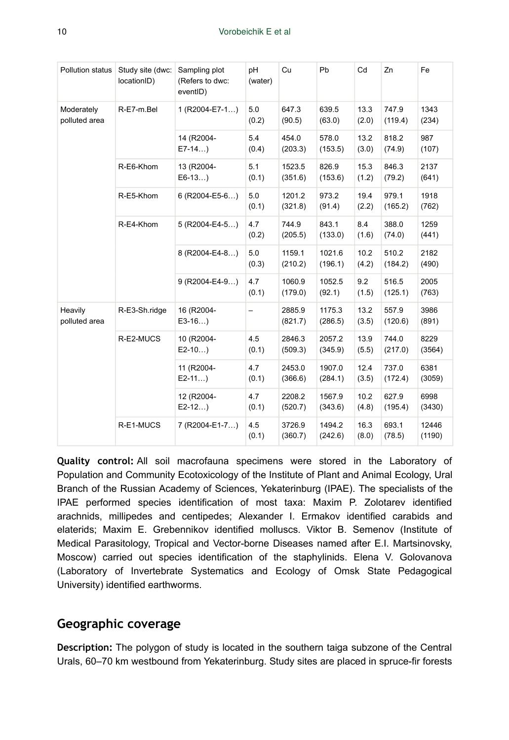| Pollution status            | Study site (dwc:<br>locationID) | Sampling plot<br>(Refers to dwc:<br>eventID) | pH<br>(water)            | Cu                | Pb                | Cd            | Zn               | Fe              |
|-----------------------------|---------------------------------|----------------------------------------------|--------------------------|-------------------|-------------------|---------------|------------------|-----------------|
| Moderately<br>polluted area | R-E7-m.Bel                      | 1 (R2004-E7-1)                               | 5.0<br>(0.2)             | 647.3<br>(90.5)   | 639.5<br>(63.0)   | 13.3<br>(2.0) | 747.9<br>(119.4) | 1343<br>(234)   |
|                             |                                 | 14 (R2004-<br>$E7-14$                        | 5.4<br>(0.4)             | 454.0<br>(203.3)  | 578.0<br>(153.5)  | 13.2<br>(3.0) | 818.2<br>(74.9)  | 987<br>(107)    |
|                             | R-E6-Khom                       | 13 (R2004-<br>$E6-13$                        | 5.1<br>(0.1)             | 1523.5<br>(351.6) | 826.9<br>(153.6)  | 15.3<br>(1.2) | 846.3<br>(79.2)  | 2137<br>(641)   |
|                             | R-E5-Khom                       | $6$ (R2004-E5-6)                             | 5.0<br>(0.1)             | 1201.2<br>(321.8) | 973.2<br>(91.4)   | 19.4<br>(2.2) | 979.1<br>(165.2) | 1918<br>(762)   |
|                             | R-E4-Khom                       | 5 (R2004-E4-5)                               | 4.7<br>(0.2)             | 744.9<br>(205.5)  | 843.1<br>(133.0)  | 8.4<br>(1.6)  | 388.0<br>(74.0)  | 1259<br>(441)   |
|                             |                                 | 8 (R2004-E4-8)                               | 5.0<br>(0.3)             | 1159.1<br>(210.2) | 1021.6<br>(196.1) | 10.2<br>(4.2) | 510.2<br>(184.2) | 2182<br>(490)   |
|                             |                                 | $9 (R2004-E4-9)$                             | 4.7<br>(0.1)             | 1060.9<br>(179.0) | 1052.5<br>(92.1)  | 9.2<br>(1.5)  | 516.5<br>(125.1) | 2005<br>(763)   |
| Heavily<br>polluted area    | R-E3-Sh.ridge                   | 16 (R2004-<br>$E3-16$                        | $\overline{\phantom{0}}$ | 2885.9<br>(821.7) | 1175.3<br>(286.5) | 13.2<br>(3.5) | 557.9<br>(120.6) | 3986<br>(891)   |
|                             | R-E2-MUCS                       | 10 (R2004-<br>$E2-10$                        | 4.5<br>(0.1)             | 2846.3<br>(509.3) | 2057.2<br>(345.9) | 13.9<br>(5.5) | 744.0<br>(217.0) | 8229<br>(3564)  |
|                             |                                 | 11 (R2004-<br>$E2-11$                        | 4.7<br>(0.1)             | 2453.0<br>(366.6) | 1907.0<br>(284.1) | 12.4<br>(3.5) | 737.0<br>(172.4) | 6381<br>(3059)  |
|                             |                                 | 12 (R2004-<br>$E2-12$                        | 4.7<br>(0.1)             | 2208.2<br>(520.7) | 1567.9<br>(343.6) | 10.2<br>(4.8) | 627.9<br>(195.4) | 6998<br>(3430)  |
|                             | R-E1-MUCS                       | 7 (R2004-E1-7)                               | 4.5<br>(0.1)             | 3726.9<br>(360.7) | 1494.2<br>(242.6) | 16.3<br>(8.0) | 693.1<br>(78.5)  | 12446<br>(1190) |

**Quality control:** All soil macrofauna specimens were stored in the Laboratory of Population and Community Ecotoxicology of the Institute of Plant and Animal Ecology, Ural Branch of the Russian Academy of Sciences, Yekaterinburg (IPAE). The specialists of the IPAE performed species identification of most taxa: Maxim P. Zolotarev identified arachnids, millipedes and centipedes; Alexander I. Ermakov identified carabids and elaterids; Maxim E. Grebennikov identified molluscs. Viktor B. Semenov (Institute of Medical Parasitology, Tropical and Vector-borne Diseases named after E.I. Martsinovsky, Moscow) carried out species identification of the staphylinids. Elena V. Golovanova (Laboratory of Invertebrate Systematics and Ecology of Omsk State Pedagogical University) identified earthworms.

#### **Geographic coverage**

**Description:** The polygon of study is located in the southern taiga subzone of the Central Urals, 60–70 km westbound from Yekaterinburg. Study sites are placed in spruce-fir forests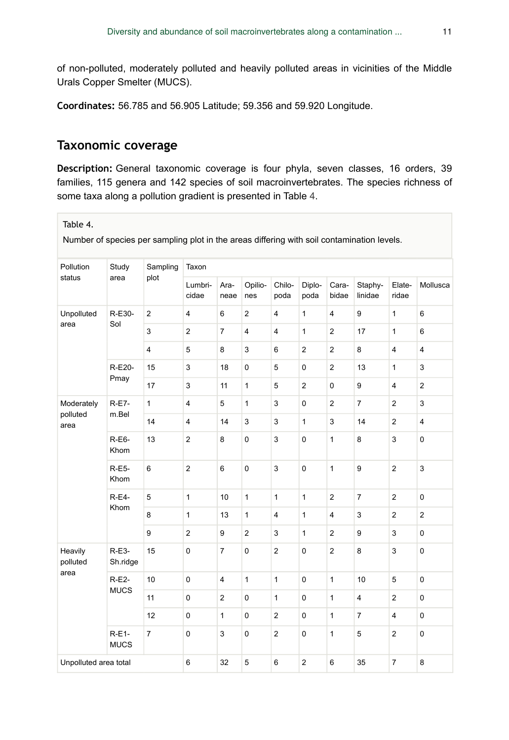of non-polluted, moderately polluted and heavily polluted areas in vicinities of the Middle Urals Copper Smelter (MUCS).

**Coordinates:** 56.785 and 56.905 Latitude; 59.356 and 59.920 Longitude.

## **Taxonomic coverage**

**Description:** General taxonomic coverage is four phyla, seven classes, 16 orders, 39 families, 115 genera and 142 species of soil macroinvertebrates. The species richness of some taxa along a pollution gradient is presented in Table [4](#page-10-0).

<span id="page-10-0"></span>Table 4.

Number of species per sampling plot in the areas differing with soil contamination levels.

| Pollution             | Study                                 | Sampling       | Taxon                   |                         |                |                |                |                         |                    |                         |                |
|-----------------------|---------------------------------------|----------------|-------------------------|-------------------------|----------------|----------------|----------------|-------------------------|--------------------|-------------------------|----------------|
| status                | area                                  | plot           | Lumbri-<br>cidae        | Ara-<br>neae            | Opilio-<br>nes | Chilo-<br>poda | Diplo-<br>poda | Cara-<br>bidae          | Staphy-<br>linidae | Elate-<br>ridae         | Mollusca       |
| Unpolluted            | R-E30-                                | $\overline{2}$ | $\overline{4}$          | 6                       | $\overline{2}$ | $\overline{4}$ | $\mathbf{1}$   | $\overline{4}$          | 9                  | $\mathbf{1}$            | 6              |
| area                  | Sol                                   | 3              | $\overline{2}$          | $\overline{7}$          | $\overline{4}$ | $\overline{4}$ | $\mathbf{1}$   | $\overline{2}$          | 17                 | $\mathbf{1}$            | 6              |
|                       |                                       | $\overline{4}$ | 5                       | 8                       | 3              | 6              | $\overline{2}$ | $\overline{2}$          | 8                  | $\overline{4}$          | $\overline{4}$ |
|                       | R-E20-                                | 15             | 3                       | 18                      | $\mathbf 0$    | 5              | $\mathbf 0$    | $\overline{2}$          | 13                 | $\mathbf{1}$            | 3              |
|                       | Pmay                                  | 17             | 3                       | 11                      | $\mathbf{1}$   | 5              | $\overline{2}$ | 0                       | 9                  | $\overline{\mathbf{4}}$ | $\overline{2}$ |
| Moderately            | <b>R-E7-</b>                          | $\mathbf{1}$   | $\overline{\mathbf{4}}$ | 5                       | $\mathbf{1}$   | 3              | $\pmb{0}$      | $\overline{2}$          | $\overline{7}$     | $\overline{2}$          | 3              |
| polluted<br>area      | m.Bel                                 | 14             | $\overline{4}$          | 14                      | 3              | 3              | $\mathbf{1}$   | 3                       | 14                 | $\overline{2}$          | $\overline{4}$ |
|                       | R-E6-<br>Khom<br><b>R-E5-</b><br>Khom | 13             | $\overline{2}$          | 8                       | $\mathsf 0$    | 3              | $\pmb{0}$      | $\mathbf{1}$            | 8                  | 3                       | $\pmb{0}$      |
|                       |                                       | 6              | $\overline{2}$          | 6                       | $\pmb{0}$      | 3              | $\mathbf 0$    | $\mathbf{1}$            | 9                  | $\overline{2}$          | 3              |
|                       | <b>R-E4-</b>                          | 5              | $\mathbf{1}$            | 10                      | $\mathbf{1}$   | $\mathbf{1}$   | $\mathbf{1}$   | $\overline{2}$          | $\overline{7}$     | $\overline{c}$          | $\mathbf 0$    |
|                       | Khom                                  | 8              | $\mathbf{1}$            | 13                      | $\mathbf{1}$   | $\overline{4}$ | $\mathbf{1}$   | $\overline{\mathbf{4}}$ | 3                  | $\overline{c}$          | $\overline{c}$ |
|                       |                                       | 9              | $\mathbf 2$             | 9                       | $\mathbf{2}$   | 3              | $\mathbf{1}$   | $\overline{2}$          | 9                  | 3                       | $\pmb{0}$      |
| Heavily<br>polluted   | $R-E3-$<br>Sh.ridge                   | 15             | $\mathbf 0$             | $\overline{7}$          | $\pmb{0}$      | $\overline{2}$ | $\pmb{0}$      | $\overline{c}$          | 8                  | 3                       | $\pmb{0}$      |
| area                  | $R-E2-$                               | 10             | $\mathbf 0$             | $\overline{\mathbf{4}}$ | $\mathbf{1}$   | $\mathbf{1}$   | $\mathbf 0$    | $\mathbf{1}$            | 10                 | 5                       | $\mathbf 0$    |
| <b>MUCS</b>           |                                       | 11             | $\pmb{0}$               | $\overline{2}$          | 0              | $\mathbf{1}$   | $\mathsf 0$    | $\mathbf{1}$            | 4                  | $\overline{2}$          | $\pmb{0}$      |
|                       |                                       | 12             | $\pmb{0}$               | $\mathbf{1}$            | $\pmb{0}$      | $\overline{2}$ | $\pmb{0}$      | $\mathbf{1}$            | $\overline{7}$     | $\overline{4}$          | 0              |
|                       | $R-E1-$<br><b>MUCS</b>                | $\overline{7}$ | $\mathbf 0$             | 3                       | $\mathsf 0$    | $\overline{2}$ | $\mathbf 0$    | $\mathbf{1}$            | 5                  | $\overline{c}$          | $\pmb{0}$      |
| Unpolluted area total |                                       |                | 6                       | 32                      | 5              | $6\phantom{1}$ | $\overline{2}$ | 6                       | 35                 | $\overline{7}$          | 8              |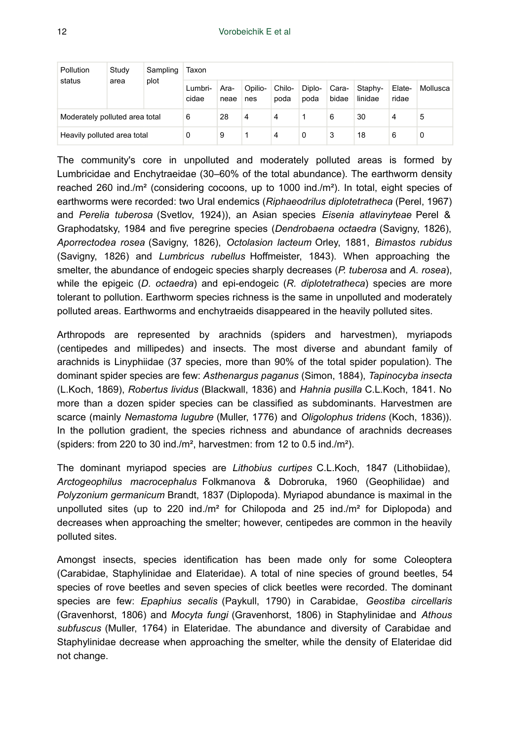| Study<br>Pollution<br>status<br>area | Sampling | Taxon |                  |              |                |                |                |                |                    |                 |          |
|--------------------------------------|----------|-------|------------------|--------------|----------------|----------------|----------------|----------------|--------------------|-----------------|----------|
|                                      |          | plot  | Lumbri-<br>cidae | Ara-<br>neae | Opilio-<br>nes | Chilo-<br>poda | Diplo-<br>poda | Cara-<br>bidae | Staphy-<br>linidae | Elate-<br>ridae | Mollusca |
| Moderately polluted area total       |          |       | 6                | 28           | 4              | 4              |                | 6              | 30                 | 4               | 5        |
| Heavily polluted area total          |          | 0     | 9                |              | 4              | 0              | 3              | 18             | 6                  | 0               |          |

The community's core in unpolluted and moderately polluted areas is formed by Lumbricidae and Enchytraeidae (30–60% of the total abundance). The earthworm density reached 260 ind./m² (considering cocoons, up to 1000 ind./m²). In total, eight species of earthworms were recorded: two Ural endemics (*Riphaeodrilus diplotetratheca* (Perel, 1967) and *Perelia tuberosa* (Svetlov, 1924)), an Asian species *Eisenia atlavinyteae* Perel & Graphodatsky, 1984 and five peregrine species (*Dendrobaena octaedra* (Savigny, 1826), *Aporrectodea rosea* (Savigny, 1826), *Octolasion lacteum* Orley, 1881, *Bimastos rubidus* (Savigny, 1826) and *Lumbricus rubellus* Hoffmeister, 1843). When approaching the smelter, the abundance of endogeic species sharply decreases (*P. tuberosa* and *A. rosea*), while the epigeic (*D. octaedra*) and epi-endogeic (*R. diplotetratheca*) species are more tolerant to pollution. Earthworm species richness is the same in unpolluted and moderately polluted areas. Earthworms and enchytraeids disappeared in the heavily polluted sites.

Arthropods are represented by arachnids (spiders and harvestmen), myriapods (centipedes and millipedes) and insects. The most diverse and abundant family of arachnids is Linyphiidae (37 species, more than 90% of the total spider population). The dominant spider species are few: *Asthenargus paganus* (Simon, 1884), *Tapinocyba insecta* (L.Koch, 1869), *Robertus lividus* (Blackwall, 1836) and *Hahnia pusilla* C.L.Koch, 1841. No more than a dozen spider species can be classified as subdominants. Harvestmen are scarce (mainly *Nemastoma lugubre* (Muller, 1776) and *Oligolophus tridens* (Koch, 1836)). In the pollution gradient, the species richness and abundance of arachnids decreases (spiders: from 220 to 30 ind./m², harvestmen: from 12 to 0.5 ind./m²).

The dominant myriapod species are *Lithobius curtipes* C.L.Koch, 1847 (Lithobiidae), *Arctogeophilus macrocephalus* Folkmanova & Dobroruka, 1960 (Geophilidae) and *Polyzonium germanicum* Brandt, 1837 (Diplopoda). Myriapod abundance is maximal in the unpolluted sites (up to 220 ind./ $m<sup>2</sup>$  for Chilopoda and 25 ind./ $m<sup>2</sup>$  for Diplopoda) and decreases when approaching the smelter; however, centipedes are common in the heavily polluted sites.

Amongst insects, species identification has been made only for some Coleoptera (Carabidae, Staphylinidae and Elateridae). A total of nine species of ground beetles, 54 species of rove beetles and seven species of click beetles were recorded. The dominant species are few: *Epaphius secalis* (Paykull, 1790) in Carabidae, *Geostiba circellaris* (Gravenhorst, 1806) and *Mocyta fungi* (Gravenhorst, 1806) in Staphylinidae and *Athous subfuscus* (Muller, 1764) in Elateridae. The abundance and diversity of Carabidae and Staphylinidae decrease when approaching the smelter, while the density of Elateridae did not change.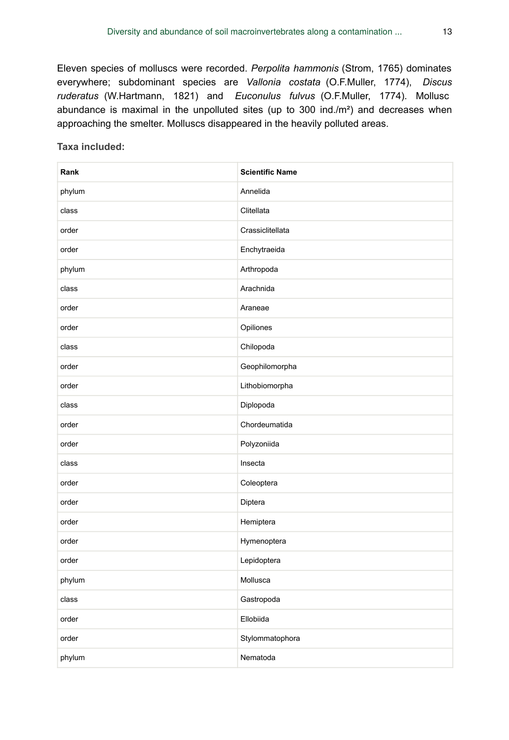Eleven species of molluscs were recorded. *Perpolita hammonis* (Strom, 1765) dominates everywhere; subdominant species are *Vallonia costata* (O.F.Muller, 1774), *Discus ruderatus* (W.Hartmann, 1821) and *Euconulus fulvus* (O.F.Muller, 1774). Mollusc abundance is maximal in the unpolluted sites (up to 300 ind./m²) and decreases when approaching the smelter. Molluscs disappeared in the heavily polluted areas.

**Taxa included:**

| Rank   | <b>Scientific Name</b> |
|--------|------------------------|
| phylum | Annelida               |
| class  | Clitellata             |
| order  | Crassiclitellata       |
| order  | Enchytraeida           |
| phylum | Arthropoda             |
| class  | Arachnida              |
| order  | Araneae                |
| order  | Opiliones              |
| class  | Chilopoda              |
| order  | Geophilomorpha         |
| order  | Lithobiomorpha         |
| class  | Diplopoda              |
| order  | Chordeumatida          |
| order  | Polyzoniida            |
| class  | Insecta                |
| order  | Coleoptera             |
| order  | Diptera                |
| order  | Hemiptera              |
| order  | Hymenoptera            |
| order  | Lepidoptera            |
| phylum | Mollusca               |
| class  | Gastropoda             |
| order  | Ellobiida              |
| order  | Stylommatophora        |
| phylum | Nematoda               |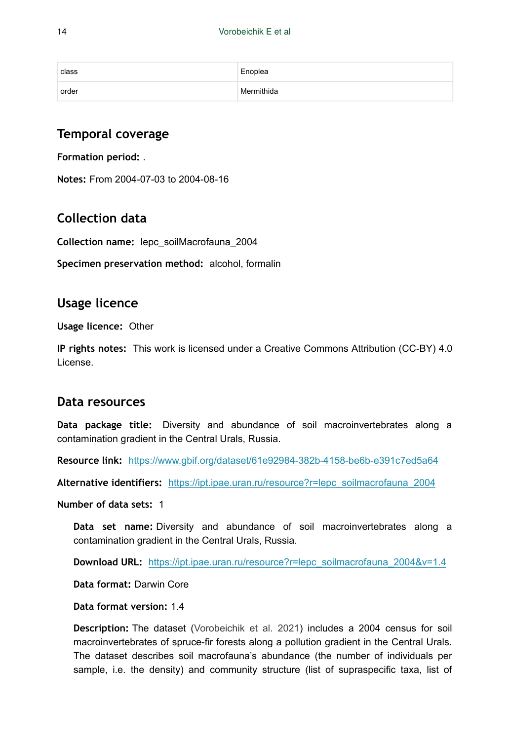| class | Enoplea    |
|-------|------------|
| order | Mermithida |

## **Temporal coverage**

**Formation period:** .

**Notes:** From 2004-07-03 to 2004-08-16

# **Collection data**

**Collection name:** lepc\_soilMacrofauna\_2004

**Specimen preservation method:** alcohol, formalin

## **Usage licence**

**Usage licence:** Other

**IP rights notes:** This work is licensed under a Creative Commons Attribution (CC-BY) 4.0 License.

## **Data resources**

**Data package title:** Diversity and abundance of soil macroinvertebrates along a contamination gradient in the Central Urals, Russia.

**Resource link:** <https://www.gbif.org/dataset/61e92984-382b-4158-be6b-e391c7ed5a64>

**Alternative identifiers:** [https://ipt.ipae.uran.ru/resource?r=lepc\\_soilmacrofauna\\_2004](https://ipt.ipae.uran.ru/resource?r=lepc_soilmacrofauna_2004)

**Number of data sets:** 1

**Data set name:** Diversity and abundance of soil macroinvertebrates along a contamination gradient in the Central Urals, Russia.

**Download URL:** [https://ipt.ipae.uran.ru/resource?r=lepc\\_soilmacrofauna\\_2004&v=1.4](https://ipt.ipae.uran.ru/resource?r=lepc_soilmacrofauna_2004&v=1.4)

**Data format:** Darwin Core

**Data format version:** 1.4

**Description:** The dataset [\(Vorobeichik et al. 2021](#page-20-12)) includes a 2004 census for soil macroinvertebrates of spruce-fir forests along a pollution gradient in the Central Urals. The dataset describes soil macrofauna's abundance (the number of individuals per sample, i.e. the density) and community structure (list of supraspecific taxa, list of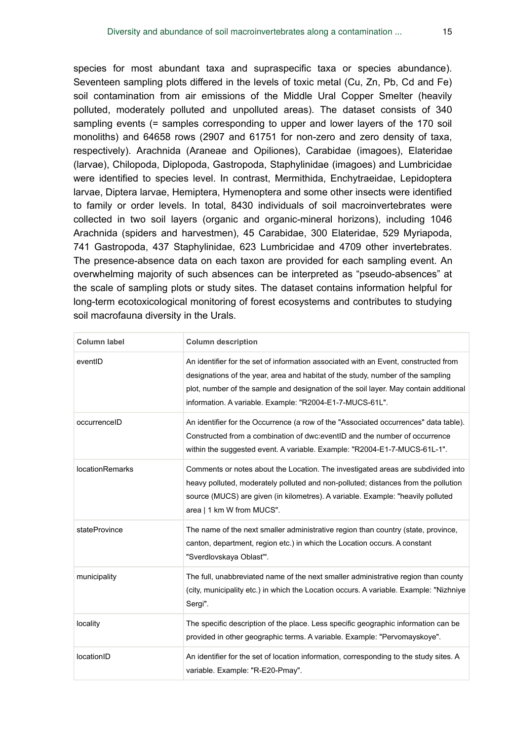species for most abundant taxa and supraspecific taxa or species abundance). Seventeen sampling plots differed in the levels of toxic metal (Cu, Zn, Pb, Cd and Fe) soil contamination from air emissions of the Middle Ural Copper Smelter (heavily polluted, moderately polluted and unpolluted areas). The dataset consists of 340 sampling events (= samples corresponding to upper and lower layers of the 170 soil monoliths) and 64658 rows (2907 and 61751 for non-zero and zero density of taxa, respectively). Arachnida (Araneae and Opiliones), Carabidae (imagoes), Elateridae (larvae), Chilopoda, Diplopoda, Gastropoda, Staphylinidae (imagoes) and Lumbricidae were identified to species level. In contrast, Mermithida, Enchytraeidae, Lepidoptera larvae, Diptera larvae, Hemiptera, Hymenoptera and some other insects were identified to family or order levels. In total, 8430 individuals of soil macroinvertebrates were collected in two soil layers (organic and organic-mineral horizons), including 1046 Arachnida (spiders and harvestmen), 45 Carabidae, 300 Elateridae, 529 Myriapoda, 741 Gastropoda, 437 Staphylinidae, 623 Lumbricidae and 4709 other invertebrates. The presence-absence data on each taxon are provided for each sampling event. An overwhelming majority of such absences can be interpreted as "pseudo-absences" at the scale of sampling plots or study sites. The dataset contains information helpful for long-term ecotoxicological monitoring of forest ecosystems and contributes to studying soil macrofauna diversity in the Urals.

| <b>Column label</b>    | <b>Column description</b>                                                                                                                                                                                                                                                                                                  |
|------------------------|----------------------------------------------------------------------------------------------------------------------------------------------------------------------------------------------------------------------------------------------------------------------------------------------------------------------------|
| eventID                | An identifier for the set of information associated with an Event, constructed from<br>designations of the year, area and habitat of the study, number of the sampling<br>plot, number of the sample and designation of the soil layer. May contain additional<br>information. A variable. Example: "R2004-E1-7-MUCS-61L". |
| occurrenceID           | An identifier for the Occurrence (a row of the "Associated occurrences" data table).<br>Constructed from a combination of dwc:eventID and the number of occurrence<br>within the suggested event. A variable. Example: "R2004-E1-7-MUCS-61L-1".                                                                            |
| <b>locationRemarks</b> | Comments or notes about the Location. The investigated areas are subdivided into<br>heavy polluted, moderately polluted and non-polluted; distances from the pollution<br>source (MUCS) are given (in kilometres). A variable. Example: "heavily polluted<br>area   1 km W from MUCS".                                     |
| stateProvince          | The name of the next smaller administrative region than country (state, province,<br>canton, department, region etc.) in which the Location occurs. A constant<br>"Sverdlovskaya Oblast"".                                                                                                                                 |
| municipality           | The full, unabbreviated name of the next smaller administrative region than county<br>(city, municipality etc.) in which the Location occurs. A variable. Example: "Nizhniye<br>Sergi".                                                                                                                                    |
| locality               | The specific description of the place. Less specific geographic information can be<br>provided in other geographic terms. A variable. Example: "Pervomayskoye".                                                                                                                                                            |
| locationID             | An identifier for the set of location information, corresponding to the study sites. A<br>variable. Example: "R-E20-Pmay".                                                                                                                                                                                                 |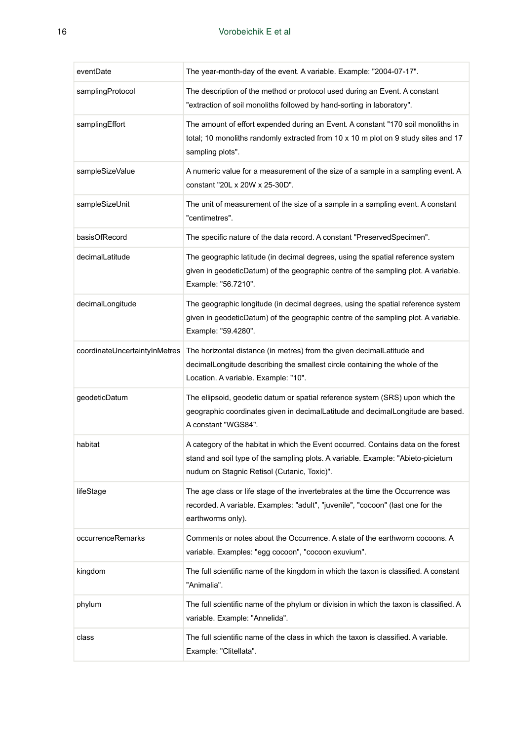| eventDate                     | The year-month-day of the event. A variable. Example: "2004-07-17".                                                                                                                                                   |
|-------------------------------|-----------------------------------------------------------------------------------------------------------------------------------------------------------------------------------------------------------------------|
| samplingProtocol              | The description of the method or protocol used during an Event. A constant<br>"extraction of soil monoliths followed by hand-sorting in laboratory".                                                                  |
| samplingEffort                | The amount of effort expended during an Event. A constant "170 soil monoliths in<br>total; 10 monoliths randomly extracted from 10 x 10 m plot on 9 study sites and 17<br>sampling plots".                            |
| sampleSizeValue               | A numeric value for a measurement of the size of a sample in a sampling event. A<br>constant "20L x 20W x 25-30D".                                                                                                    |
| sampleSizeUnit                | The unit of measurement of the size of a sample in a sampling event. A constant<br>"centimetres".                                                                                                                     |
| basisOfRecord                 | The specific nature of the data record. A constant "PreservedSpecimen".                                                                                                                                               |
| decimalLatitude               | The geographic latitude (in decimal degrees, using the spatial reference system<br>given in geodeticDatum) of the geographic centre of the sampling plot. A variable.<br>Example: "56.7210".                          |
| decimalLongitude              | The geographic longitude (in decimal degrees, using the spatial reference system<br>given in geodeticDatum) of the geographic centre of the sampling plot. A variable.<br>Example: "59.4280".                         |
| coordinateUncertaintyInMetres | The horizontal distance (in metres) from the given decimalLatitude and<br>decimalLongitude describing the smallest circle containing the whole of the<br>Location. A variable. Example: "10".                         |
| geodeticDatum                 | The ellipsoid, geodetic datum or spatial reference system (SRS) upon which the<br>geographic coordinates given in decimalLatitude and decimalLongitude are based.<br>A constant "WGS84".                              |
| habitat                       | A category of the habitat in which the Event occurred. Contains data on the forest<br>stand and soil type of the sampling plots. A variable. Example: "Abieto-picietum<br>nudum on Stagnic Retisol (Cutanic, Toxic)". |
| lifeStage                     | The age class or life stage of the invertebrates at the time the Occurrence was<br>recorded. A variable. Examples: "adult", "juvenile", "cocoon" (last one for the<br>earthworms only).                               |
| occurrenceRemarks             | Comments or notes about the Occurrence. A state of the earthworm cocoons. A<br>variable. Examples: "egg cocoon", "cocoon exuvium".                                                                                    |
| kingdom                       | The full scientific name of the kingdom in which the taxon is classified. A constant<br>"Animalia".                                                                                                                   |
| phylum                        | The full scientific name of the phylum or division in which the taxon is classified. A<br>variable. Example: "Annelida".                                                                                              |
| class                         | The full scientific name of the class in which the taxon is classified. A variable.<br>Example: "Clitellata".                                                                                                         |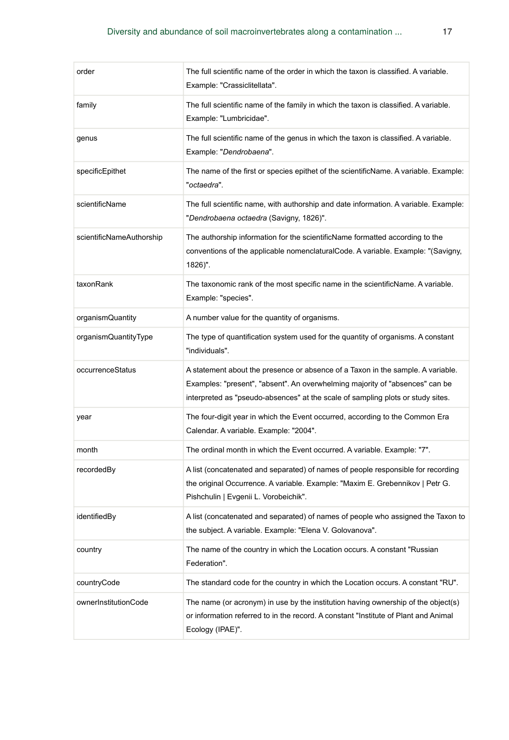| order                    | The full scientific name of the order in which the taxon is classified. A variable.<br>Example: "Crassiclitellata".                                                                                                                                |
|--------------------------|----------------------------------------------------------------------------------------------------------------------------------------------------------------------------------------------------------------------------------------------------|
| family                   | The full scientific name of the family in which the taxon is classified. A variable.<br>Example: "Lumbricidae".                                                                                                                                    |
| genus                    | The full scientific name of the genus in which the taxon is classified. A variable.<br>Example: "Dendrobaena".                                                                                                                                     |
| specificEpithet          | The name of the first or species epithet of the scientificName. A variable. Example:<br>"octaedra".                                                                                                                                                |
| scientificName           | The full scientific name, with authorship and date information. A variable. Example:<br>"Dendrobaena octaedra (Savigny, 1826)".                                                                                                                    |
| scientificNameAuthorship | The authorship information for the scientificName formatted according to the<br>conventions of the applicable nomenclaturalCode. A variable. Example: "(Savigny,<br>1826)".                                                                        |
| taxonRank                | The taxonomic rank of the most specific name in the scientificName. A variable.<br>Example: "species".                                                                                                                                             |
| organismQuantity         | A number value for the quantity of organisms.                                                                                                                                                                                                      |
| organismQuantityType     | The type of quantification system used for the quantity of organisms. A constant<br>"individuals".                                                                                                                                                 |
| occurrenceStatus         | A statement about the presence or absence of a Taxon in the sample. A variable.<br>Examples: "present", "absent". An overwhelming majority of "absences" can be<br>interpreted as "pseudo-absences" at the scale of sampling plots or study sites. |
| year                     | The four-digit year in which the Event occurred, according to the Common Era<br>Calendar. A variable. Example: "2004".                                                                                                                             |
| month                    | The ordinal month in which the Event occurred. A variable. Example: "7".                                                                                                                                                                           |
| recordedBy               | A list (concatenated and separated) of names of people responsible for recording<br>the original Occurrence. A variable. Example: "Maxim E. Grebennikov   Petr G.<br>Pishchulin   Evgenii L. Vorobeichik".                                         |
| identifiedBy             | A list (concatenated and separated) of names of people who assigned the Taxon to<br>the subject. A variable. Example: "Elena V. Golovanova".                                                                                                       |
| country                  | The name of the country in which the Location occurs. A constant "Russian<br>Federation".                                                                                                                                                          |
| countryCode              | The standard code for the country in which the Location occurs. A constant "RU".                                                                                                                                                                   |
| ownerInstitutionCode     | The name (or acronym) in use by the institution having ownership of the object(s)<br>or information referred to in the record. A constant "Institute of Plant and Animal"<br>Ecology (IPAE)".                                                      |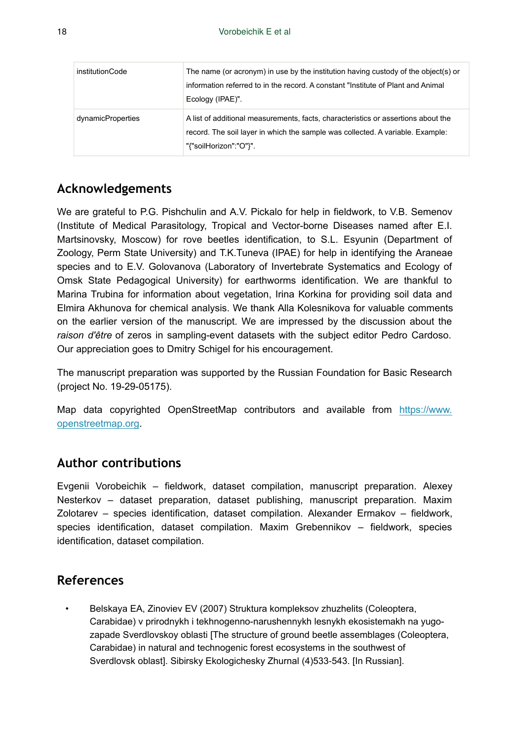| institutionCode   | The name (or acronym) in use by the institution having custody of the object(s) or<br>information referred to in the record. A constant "Institute of Plant and Animal"<br>Ecology (IPAE)".   |
|-------------------|-----------------------------------------------------------------------------------------------------------------------------------------------------------------------------------------------|
| dynamicProperties | A list of additional measurements, facts, characteristics or assertions about the<br>record. The soil layer in which the sample was collected. A variable. Example:<br>"{"soilHorizon":"O"}". |

## **Acknowledgements**

We are grateful to P.G. Pishchulin and A.V. Pickalo for help in fieldwork, to V.B. Semenov (Institute of Medical Parasitology, Tropical and Vector-borne Diseases named after E.I. Martsinovsky, Moscow) for rove beetles identification, to S.L. Esyunin (Department of Zoology, Perm State University) and T.K.Tuneva (IPAE) for help in identifying the Araneae species and to E.V. Golovanova (Laboratory of Invertebrate Systematics and Ecology of Omsk State Pedagogical University) for earthworms identification. We are thankful to Marina Trubina for information about vegetation, Irina Korkina for providing soil data and Elmira Akhunova for chemical analysis. We thank Alla Kolesnikova for valuable comments on the earlier version of the manuscript. We are impressed by the discussion about the *raison d'être* of zeros in sampling-event datasets with the subject editor Pedro Cardoso. Our appreciation goes to Dmitry Schigel for his encouragement.

The manuscript preparation was supported by the Russian Foundation for Basic Research (project No. 19-29-05175).

Map data copyrighted OpenStreetMap contributors and available from [https://www.](https://www.openstreetmap.org%2C/) [openstreetmap.org.](https://www.openstreetmap.org%2C/)

## **Author contributions**

Evgenii Vorobeichik – fieldwork, dataset compilation, manuscript preparation. Alexey Nesterkov – dataset preparation, dataset publishing, manuscript preparation. Maxim Zolotarev – species identification, dataset compilation. Alexander Ermakov – fieldwork, species identification, dataset compilation. Maxim Grebennikov – fieldwork, species identification, dataset compilation.

## **References**

<span id="page-17-0"></span>• Belskaya EA, Zinoviev EV (2007) Struktura kompleksov zhuzhelits (Coleoptera, Carabidae) v prirodnykh i tekhnogenno-narushennykh lesnykh ekosistemakh na yugozapade Sverdlovskoy oblasti [The structure of ground beetle assemblages (Coleoptera, Carabidae) in natural and technogenic forest ecosystems in the southwest of Sverdlovsk oblast]. Sibirsky Ekologichesky Zhurnal (4)533‑543. [In Russian].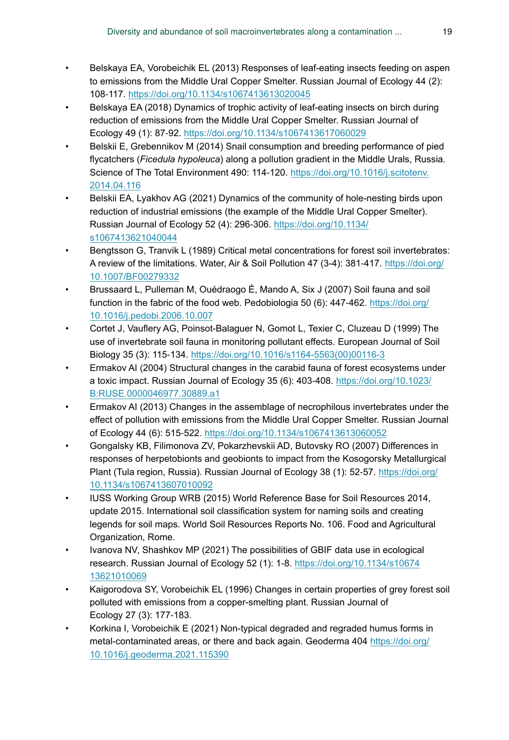- <span id="page-18-7"></span>• Belskaya EA, Vorobeichik EL (2013) Responses of leaf-eating insects feeding on aspen to emissions from the Middle Ural Copper Smelter. Russian Journal of Ecology 44 (2): 108‑117. <https://doi.org/10.1134/s1067413613020045>
- <span id="page-18-9"></span>• Belskaya EA (2018) Dynamics of trophic activity of leaf-eating insects on birch during reduction of emissions from the Middle Ural Copper Smelter. Russian Journal of Ecology 49 (1): 87‑92. <https://doi.org/10.1134/s1067413617060029>
- <span id="page-18-2"></span>Belskii E, Grebennikov M (2014) Snail consumption and breeding performance of pied flycatchers (*Ficedula hypoleuca*) along a pollution gradient in the Middle Urals, Russia. Science of The Total Environment 490: 114-120. [https://doi.org/10.1016/j.scitotenv.](https://doi.org/10.1016/j.scitotenv.2014.04.116) [2014.04.116](https://doi.org/10.1016/j.scitotenv.2014.04.116)
- <span id="page-18-11"></span>• Belskii EA, Lyakhov AG (2021) Dynamics of the community of hole-nesting birds upon reduction of industrial emissions (the example of the Middle Ural Copper Smelter). Russian Journal of Ecology 52 (4): 296‑306. [https://doi.org/10.1134/](https://doi.org/10.1134/s1067413621040044) [s1067413621040044](https://doi.org/10.1134/s1067413621040044)
- <span id="page-18-0"></span>• Bengtsson G, Tranvik L (1989) Critical metal concentrations for forest soil invertebrates: A review of the limitations. Water, Air & Soil Pollution 47 (3-4): 381‑417. [https://doi.org/](https://doi.org/10.1007/BF00279332) [10.1007/BF00279332](https://doi.org/10.1007/BF00279332)
- <span id="page-18-3"></span>• Brussaard L, Pulleman M, Ouédraogo É, Mando A, Six J (2007) Soil fauna and soil function in the fabric of the food web. Pedobiologia 50 (6): 447-462. [https://doi.org/](https://doi.org/10.1016/j.pedobi.2006.10.007) [10.1016/j.pedobi.2006.10.007](https://doi.org/10.1016/j.pedobi.2006.10.007)
- <span id="page-18-4"></span>• Cortet J, Vauflery AG, Poinsot-Balaguer N, Gomot L, Texier C, Cluzeau D (1999) The use of invertebrate soil fauna in monitoring pollutant effects. European Journal of Soil Biology 35 (3): 115‑134. [https://doi.org/10.1016/s1164-5563\(00\)00116-3](https://doi.org/10.1016/s1164-5563(00)00116-3)
- <span id="page-18-6"></span>• Ermakov AI (2004) Structural changes in the carabid fauna of forest ecosystems under a toxic impact. Russian Journal of Ecology 35 (6): 403-408. [https://doi.org/10.1023/](https://doi.org/10.1023/B:RUSE.0000046977.30889.a1) [B:RUSE.0000046977.30889.a1](https://doi.org/10.1023/B:RUSE.0000046977.30889.a1)
- <span id="page-18-8"></span>• Ermakov AI (2013) Changes in the assemblage of necrophilous invertebrates under the effect of pollution with emissions from the Middle Ural Copper Smelter. Russian Journal of Ecology 44 (6): 515‑522. <https://doi.org/10.1134/s1067413613060052>
- <span id="page-18-1"></span>• Gongalsky KB, Filimonova ZV, Pokarzhevskii AD, Butovsky RO (2007) Differences in responses of herpetobionts and geobionts to impact from the Kosogorsky Metallurgical Plant (Tula region, Russia). Russian Journal of Ecology 38 (1): 52-57. [https://doi.org/](https://doi.org/10.1134/s1067413607010092) [10.1134/s1067413607010092](https://doi.org/10.1134/s1067413607010092)
- <span id="page-18-13"></span>• IUSS Working Group WRB (2015) World Reference Base for Soil Resources 2014, update 2015. International soil classification system for naming soils and creating legends for soil maps. World Soil Resources Reports No. 106. Food and Agricultural Organization, Rome.
- <span id="page-18-12"></span>• Ivanova NV, Shashkov MP (2021) The possibilities of GBIF data use in ecological research. Russian Journal of Ecology 52 (1): 1‑8. [https://doi.org/10.1134/s10674](https://doi.org/10.1134/s1067413621010069) [13621010069](https://doi.org/10.1134/s1067413621010069)
- <span id="page-18-5"></span>• Kaigorodova SY, Vorobeichik EL (1996) Changes in certain properties of grey forest soil polluted with emissions from a copper-smelting plant. Russian Journal of Ecology 27 (3): 177‑183.
- <span id="page-18-10"></span>• Korkina I, Vorobeichik E (2021) Non-typical degraded and regraded humus forms in metal-contaminated areas, or there and back again. Geoderma 404 [https://doi.org/](https://doi.org/10.1016/j.geoderma.2021.115390) [10.1016/j.geoderma.2021.115390](https://doi.org/10.1016/j.geoderma.2021.115390)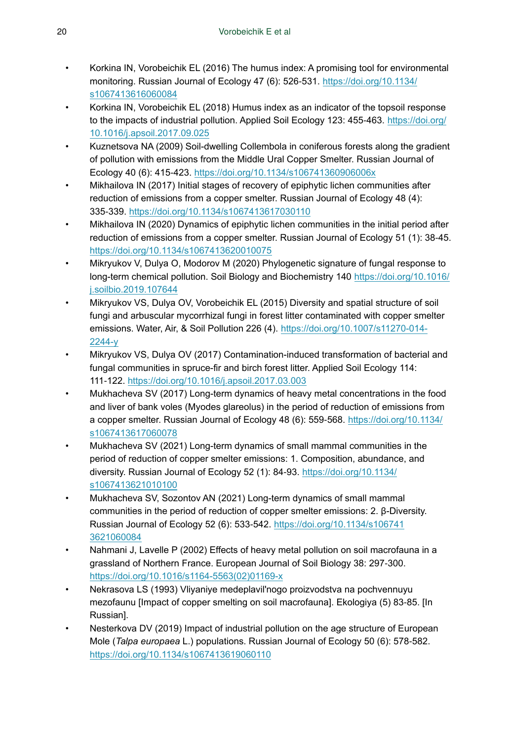- <span id="page-19-2"></span>• Korkina IN, Vorobeichik EL (2016) The humus index: A promising tool for environmental monitoring. Russian Journal of Ecology 47 (6): 526‑531. [https://doi.org/10.1134/](https://doi.org/10.1134/s1067413616060084) [s1067413616060084](https://doi.org/10.1134/s1067413616060084)
- <span id="page-19-3"></span>• Korkina IN, Vorobeichik EL (2018) Humus index as an indicator of the topsoil response to the impacts of industrial pollution. Applied Soil Ecology 123: 455-463. [https://doi.org/](https://doi.org/10.1016/j.apsoil.2017.09.025) [10.1016/j.apsoil.2017.09.025](https://doi.org/10.1016/j.apsoil.2017.09.025)
- <span id="page-19-8"></span>• Kuznetsova NA (2009) Soil-dwelling Collembola in coniferous forests along the gradient of pollution with emissions from the Middle Ural Copper Smelter. Russian Journal of Ecology 40 (6): 415‑423.<https://doi.org/10.1134/s106741360906006x>
- <span id="page-19-10"></span>• Mikhailova IN (2017) Initial stages of recovery of epiphytic lichen communities after reduction of emissions from a copper smelter. Russian Journal of Ecology 48 (4): 335‑339. <https://doi.org/10.1134/s1067413617030110>
- <span id="page-19-11"></span>• Mikhailova IN (2020) Dynamics of epiphytic lichen communities in the initial period after reduction of emissions from a copper smelter. Russian Journal of Ecology 51 (1): 38-45. <https://doi.org/10.1134/s1067413620010075>
- <span id="page-19-7"></span>• Mikryukov V, Dulya O, Modorov M (2020) Phylogenetic signature of fungal response to long-term chemical pollution. Soil Biology and Biochemistry 140 [https://doi.org/10.1016/](https://doi.org/10.1016/j.soilbio.2019.107644) [j.soilbio.2019.107644](https://doi.org/10.1016/j.soilbio.2019.107644)
- <span id="page-19-5"></span>• Mikryukov VS, Dulya OV, Vorobeichik EL (2015) Diversity and spatial structure of soil fungi and arbuscular mycorrhizal fungi in forest litter contaminated with copper smelter emissions. Water, Air, & Soil Pollution 226 (4). [https://doi.org/10.1007/s11270-014-](https://doi.org/10.1007/s11270-014-2244-y) [2244-y](https://doi.org/10.1007/s11270-014-2244-y)
- <span id="page-19-6"></span>• Mikryukov VS, Dulya OV (2017) Contamination-induced transformation of bacterial and fungal communities in spruce-fir and birch forest litter. Applied Soil Ecology 114: 111‑122.<https://doi.org/10.1016/j.apsoil.2017.03.003>
- <span id="page-19-9"></span>• Mukhacheva SV (2017) Long-term dynamics of heavy metal concentrations in the food and liver of bank voles (Myodes glareolus) in the period of reduction of emissions from a copper smelter. Russian Journal of Ecology 48 (6): 559‑568. [https://doi.org/10.1134/](https://doi.org/10.1134/s1067413617060078) [s1067413617060078](https://doi.org/10.1134/s1067413617060078)
- <span id="page-19-12"></span>• Mukhacheva SV (2021) Long-term dynamics of small mammal communities in the period of reduction of copper smelter emissions: 1. Composition, abundance, and diversity. Russian Journal of Ecology 52 (1): 84-93. [https://doi.org/10.1134/](https://doi.org/10.1134/s1067413621010100) [s1067413621010100](https://doi.org/10.1134/s1067413621010100)
- <span id="page-19-13"></span>• Mukhacheva SV, Sozontov AN (2021) Long-term dynamics of small mammal communities in the period of reduction of copper smelter emissions: 2. β-Diversity. Russian Journal of Ecology 52 (6): 533‑542. [https://doi.org/10.1134/s106741](https://doi.org/10.1134/s1067413621060084) [3621060084](https://doi.org/10.1134/s1067413621060084)
- <span id="page-19-1"></span>• Nahmani J, Lavelle P (2002) Effects of heavy metal pollution on soil macrofauna in a grassland of Northern France. European Journal of Soil Biology 38: 297‑300. [https://doi.org/10.1016/s1164-5563\(02\)01169-x](https://doi.org/10.1016/s1164-5563(02)01169-x)
- <span id="page-19-0"></span>• Nekrasova LS (1993) Vliyaniye medeplavil'nogo proizvodstva na pochvennuyu mezofaunu [Impact of copper smelting on soil macrofauna]. Ekologiya (5) 83‑85. [In Russian].
- <span id="page-19-4"></span>Nesterkova DV (2019) Impact of industrial pollution on the age structure of European Mole (*Talpa europaea* L.) populations. Russian Journal of Ecology 50 (6): 578‑582. <https://doi.org/10.1134/s1067413619060110>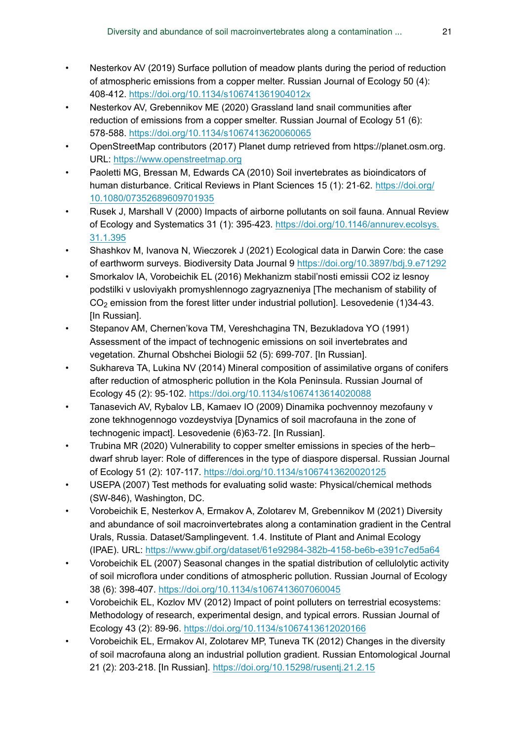- <span id="page-20-9"></span>• Nesterkov AV (2019) Surface pollution of meadow plants during the period of reduction of atmospheric emissions from a copper melter. Russian Journal of Ecology 50 (4): 408‑412. <https://doi.org/10.1134/s106741361904012x>
- <span id="page-20-11"></span>• Nesterkov AV, Grebennikov ME (2020) Grassland land snail communities after reduction of emissions from a copper smelter. Russian Journal of Ecology 51 (6): 578‑588. <https://doi.org/10.1134/s1067413620060065>
- <span id="page-20-14"></span>• OpenStreetMap contributors (2017) Planet dump retrieved from https://planet.osm.org. URL:<https://www.openstreetmap.org>
- <span id="page-20-5"></span>• Paoletti MG, Bressan M, Edwards CA (2010) Soil invertebrates as bioindicators of human disturbance. Critical Reviews in Plant Sciences 15 (1): 21‑62. [https://doi.org/](https://doi.org/10.1080/07352689609701935) [10.1080/07352689609701935](https://doi.org/10.1080/07352689609701935)
- <span id="page-20-0"></span>• Rusek J, Marshall V (2000) Impacts of airborne pollutants on soil fauna. Annual Review of Ecology and Systematics 31 (1): 395-423. [https://doi.org/10.1146/annurev.ecolsys.](https://doi.org/10.1146/annurev.ecolsys.31.1.395) [31.1.395](https://doi.org/10.1146/annurev.ecolsys.31.1.395)
- <span id="page-20-13"></span>• Shashkov M, Ivanova N, Wieczorek J (2021) Ecological data in Darwin Core: the case of earthworm surveys. Biodiversity Data Journal 9 <https://doi.org/10.3897/bdj.9.e71292>
- <span id="page-20-8"></span>• Smorkalov IA, Vorobeichik EL (2016) Mekhanizm stabil'nosti emissii CO2 iz lesnoy podstilki v usloviyakh promyshlennogo zagryazneniya [The mechanism of stability of  $CO<sub>2</sub>$  emission from the forest litter under industrial pollution]. Lesovedenie (1)34-43. [In Russian].
- <span id="page-20-1"></span>• Stepanov AM, Chernen'kova TM, Vereshchagina TN, Bezukladova YO (1991) Assessment of the impact of technogenic emissions on soil invertebrates and vegetation. Zhurnal Obshchei Biologii 52 (5): 699‑707. [In Russian].
- <span id="page-20-4"></span>Sukhareva TA, Lukina NV (2014) Mineral composition of assimilative organs of conifers after reduction of atmospheric pollution in the Kola Peninsula. Russian Journal of Ecology 45 (2): 95‑102. <https://doi.org/10.1134/s1067413614020088>
- <span id="page-20-2"></span>• Tanasevich AV, Rybalov LB, Kamaev IO (2009) Dinamika pochvennoy mezofauny v zone tekhnogennogo vozdeystviya [Dynamics of soil macrofauna in the zone of technogenic impact]. Lesovedenie (6)63‑72. [In Russian].
- <span id="page-20-10"></span>• Trubina MR (2020) Vulnerability to copper smelter emissions in species of the herb– dwarf shrub layer: Role of differences in the type of diaspore dispersal. Russian Journal of Ecology 51 (2): 107‑117.<https://doi.org/10.1134/s1067413620020125>
- <span id="page-20-15"></span>• USEPA (2007) Test methods for evaluating solid waste: Physical/chemical methods (SW-846), Washington, DC.
- <span id="page-20-12"></span>• Vorobeichik E, Nesterkov A, Ermakov A, Zolotarev M, Grebennikov M (2021) Diversity and abundance of soil macroinvertebrates along a contamination gradient in the Central Urals, Russia. Dataset/Samplingevent. 1.4. Institute of Plant and Animal Ecology (IPAE). URL: <https://www.gbif.org/dataset/61e92984-382b-4158-be6b-e391c7ed5a64>
- <span id="page-20-7"></span>• Vorobeichik EL (2007) Seasonal changes in the spatial distribution of cellulolytic activity of soil microflora under conditions of atmospheric pollution. Russian Journal of Ecology 38 (6): 398‑407. <https://doi.org/10.1134/s1067413607060045>
- <span id="page-20-6"></span>• Vorobeichik EL, Kozlov MV (2012) Impact of point polluters on terrestrial ecosystems: Methodology of research, experimental design, and typical errors. Russian Journal of Ecology 43 (2): 89‑96. <https://doi.org/10.1134/s1067413612020166>
- <span id="page-20-3"></span>• Vorobeichik EL, Ermakov AI, Zolotarev MP, Tuneva TK (2012) Changes in the diversity of soil macrofauna along an industrial pollution gradient. Russian Entomological Journal 21 (2): 203‑218. [In Russian]. <https://doi.org/10.15298/rusentj.21.2.15>